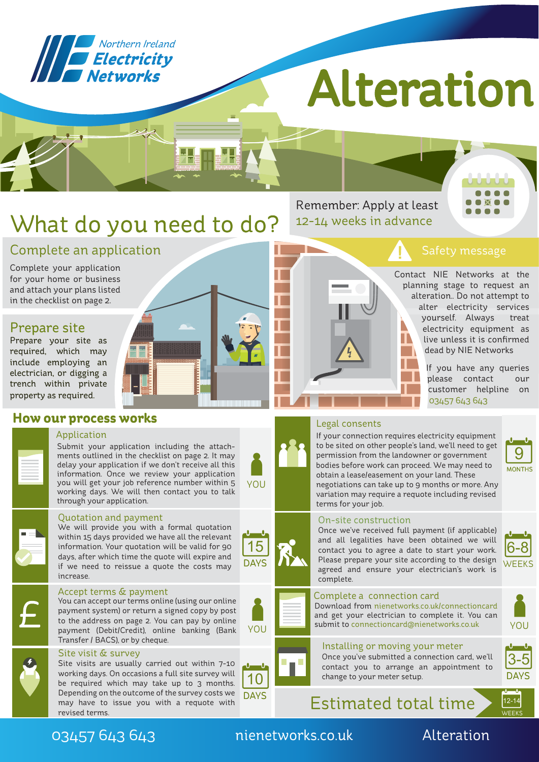

# Alteratio

## What do you need to do?

Remember: Apply at least 12-14 weeks in advance



Contact NIE Networks at the planning stage to request an alteration.. Do not attempt to alter electricity services yourself. Always treat electricity equipment as live unless it is confirmed dead by NIE Networks

> If you have any queries please contact our customer helpline on 03457 643 643

#### Legal consents

If your connection requires electricity equipment to be sited on other people's land, we'll need to get permission from the landowner or government bodies before work can proceed. We may need to obtain a lease/easement on your land. These negotiations can take up to 9 months or more. Any variation may require a requote including revised terms for your job.

### 9 **MONTHS**

#### On-site construction

Once we've received full payment (if applicable) and all legalities have been obtained we will contact you to agree a date to start your work. Please prepare your site according to the design agreed and ensure your electrician's work is complete.



Download from nienetworks.co.uk/connectioncard and get your electrician to complete it. You can submit to connectioncard@nienetworks.co.uk YOU



6-8 **WEEKS** 

<u> Մ Մ</u>

#### Installing or moving your meter Once you've submitted a connection card, we'll contact you to arrange an appointment to change to your meter setup.

**DAYS** 3-5

Estimated total time  $\sum_{12-14}$ 



#### Complete your application for your home or business

Complete an application

and attach your plans listed in the checklist on page 2.

#### Prepare site

Prepare your site as required, which may include employing an electrician, or digging a trench within private property as required.

#### **How our process works**

#### Application

Submit your application including the attachments outlined in the checklist on page 2. It may delay your application if we don't receive all this information. Once we review your application you will get your job reference number within 5 working days. We will then contact you to talk through your application.



#### Quotation and payment

We will provide you with a formal quotation within 15 days provided we have all the relevant information. Your quotation will be valid for 90 days, after which time the quote will expire and if we need to reissue a quote the costs may increase.

#### Accept terms & payment

You can accept our terms online (using our online payment system) or return a signed copy by post to the address on page 2. You can pay by online payment (Debit/Credit), online banking (Bank Transfer / BACS), or by cheque.

#### Site visit & survey

Site visits are usually carried out within 7-10 working days. On occasions a full site survey will be required which may take up to 3 months. Depending on the outcome of the survey costs we may have to issue you with a requote with revised terms.

#### 03457 643 643 nienetworks.co.uk Alteration

YOU



YOU



DAYS







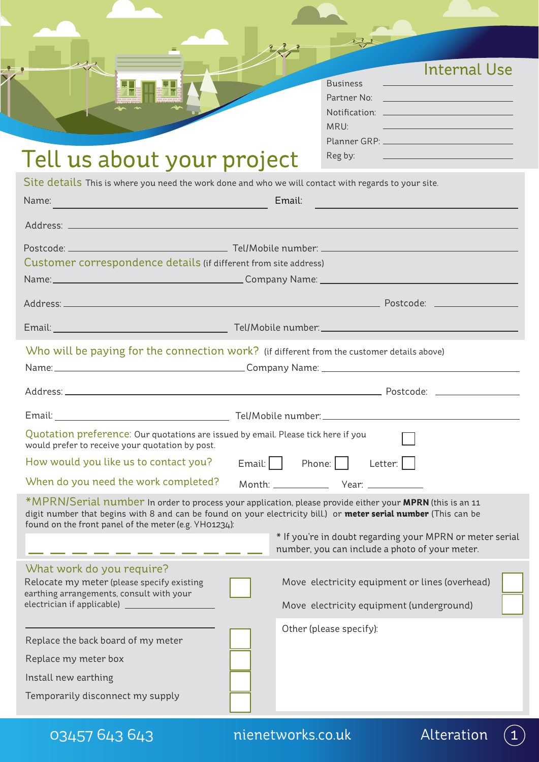|                                                                                                                                                                                                                                                                                                   | Internal Use<br><b>Business</b><br>Partner No: <u>Department of the Contract of the Contract of the Contract of the Contract of the Contract of the Contract of the Contract of the Contract of the Contract of the Contract of the Contract of the Contract of the</u><br>MRU:<br><u> 1999 - Johann Barn, mars eta inperiodoren erroman erroman erroman erroman erroman erroman erroman erroman er</u><br>Planner GRP: Value of the Capital Art and the Capital Art and the Capital Art and the Capital Art and the Capi |
|---------------------------------------------------------------------------------------------------------------------------------------------------------------------------------------------------------------------------------------------------------------------------------------------------|---------------------------------------------------------------------------------------------------------------------------------------------------------------------------------------------------------------------------------------------------------------------------------------------------------------------------------------------------------------------------------------------------------------------------------------------------------------------------------------------------------------------------|
| Tell us about your project                                                                                                                                                                                                                                                                        | Reg by:                                                                                                                                                                                                                                                                                                                                                                                                                                                                                                                   |
| Site details This is where you need the work done and who we will contact with regards to your site.<br>Name:<br><u> 1990 - Jan Stein Stein, fransk politik (f. 1980)</u>                                                                                                                         | Email:                                                                                                                                                                                                                                                                                                                                                                                                                                                                                                                    |
|                                                                                                                                                                                                                                                                                                   |                                                                                                                                                                                                                                                                                                                                                                                                                                                                                                                           |
| Customer correspondence details (if different from site address)<br>Name: Name: Name: Name: Name: Name: Name: Name: Name: Name: Name: Name: Name: Name: Name: Name: Name: Name: Name: Name: Name: Name: Name: Name: Name: Name: Name: Name: Name: Name: Name: Name: Name: Name: Name: Name: Name: |                                                                                                                                                                                                                                                                                                                                                                                                                                                                                                                           |
|                                                                                                                                                                                                                                                                                                   |                                                                                                                                                                                                                                                                                                                                                                                                                                                                                                                           |
|                                                                                                                                                                                                                                                                                                   |                                                                                                                                                                                                                                                                                                                                                                                                                                                                                                                           |
| Who will be paying for the connection work? (if different from the customer details above)                                                                                                                                                                                                        |                                                                                                                                                                                                                                                                                                                                                                                                                                                                                                                           |
|                                                                                                                                                                                                                                                                                                   |                                                                                                                                                                                                                                                                                                                                                                                                                                                                                                                           |
| Email:                                                                                                                                                                                                                                                                                            |                                                                                                                                                                                                                                                                                                                                                                                                                                                                                                                           |
| Quotation preference: Our quotations are issued by email. Please tick here if you<br>would prefer to receive your quotation by post.                                                                                                                                                              |                                                                                                                                                                                                                                                                                                                                                                                                                                                                                                                           |
| How would you like us to contact you?                                                                                                                                                                                                                                                             | $Email:$   Phone:    <br>Letter:                                                                                                                                                                                                                                                                                                                                                                                                                                                                                          |
| When do you need the work completed?                                                                                                                                                                                                                                                              |                                                                                                                                                                                                                                                                                                                                                                                                                                                                                                                           |
| found on the front panel of the meter (e.g. YH01234):                                                                                                                                                                                                                                             | *MPRN/Serial number In order to process your application, please provide either your MPRN (this is an 11<br>digit number that begins with 8 and can be found on your electricity bill.) or meter serial number (This can be<br>* If you're in doubt regarding your MPRN or meter serial                                                                                                                                                                                                                                   |
|                                                                                                                                                                                                                                                                                                   | number, you can include a photo of your meter.                                                                                                                                                                                                                                                                                                                                                                                                                                                                            |
| What work do you require?<br>Relocate my meter (please specify existing<br>earthing arrangements, consult with your                                                                                                                                                                               | Move electricity equipment or lines (overhead)<br>Move electricity equipment (underground)                                                                                                                                                                                                                                                                                                                                                                                                                                |
|                                                                                                                                                                                                                                                                                                   |                                                                                                                                                                                                                                                                                                                                                                                                                                                                                                                           |
| Replace the back board of my meter                                                                                                                                                                                                                                                                | Other (please specify):                                                                                                                                                                                                                                                                                                                                                                                                                                                                                                   |
| Replace my meter box                                                                                                                                                                                                                                                                              |                                                                                                                                                                                                                                                                                                                                                                                                                                                                                                                           |
|                                                                                                                                                                                                                                                                                                   |                                                                                                                                                                                                                                                                                                                                                                                                                                                                                                                           |
| Install new earthing                                                                                                                                                                                                                                                                              |                                                                                                                                                                                                                                                                                                                                                                                                                                                                                                                           |

03457 643 643 hienetworks.co.uk Alteration



 $\begin{picture}(20,20) \put(0,0){\line(1,0){155}} \put(15,0){\line(1,0){155}} \put(15,0){\line(1,0){155}} \put(15,0){\line(1,0){155}} \put(15,0){\line(1,0){155}} \put(15,0){\line(1,0){155}} \put(15,0){\line(1,0){155}} \put(15,0){\line(1,0){155}} \put(15,0){\line(1,0){155}} \put(15,0){\line(1,0){155}} \put(15,0){\line(1,0){155}} \$